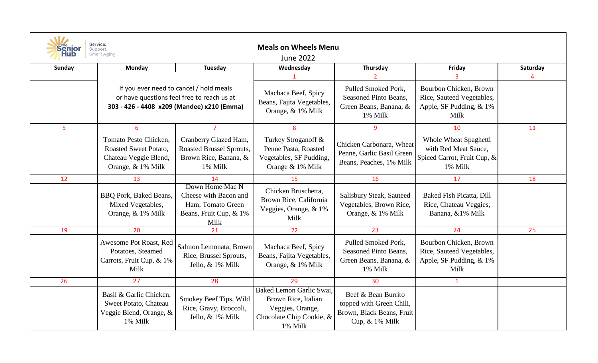| Service.<br><b>Senior</b><br><b>Meals on Wheels Menu</b><br>Support.<br>Smart Aging.<br><b>June 2022</b> |                                                                                              |                                                                                                                                     |                                                                                                            |                                                                                                   |                                                                                         |          |  |  |  |
|----------------------------------------------------------------------------------------------------------|----------------------------------------------------------------------------------------------|-------------------------------------------------------------------------------------------------------------------------------------|------------------------------------------------------------------------------------------------------------|---------------------------------------------------------------------------------------------------|-----------------------------------------------------------------------------------------|----------|--|--|--|
| <b>Sunday</b>                                                                                            | Monday                                                                                       | Tuesday                                                                                                                             | Wednesday                                                                                                  | Thursday                                                                                          | Friday                                                                                  | Saturday |  |  |  |
|                                                                                                          |                                                                                              |                                                                                                                                     |                                                                                                            |                                                                                                   |                                                                                         |          |  |  |  |
|                                                                                                          |                                                                                              | If you ever need to cancel / hold meals<br>or have questions feel free to reach us at<br>303 - 426 - 4408 x209 (Mandee) x210 (Emma) | Machaca Beef, Spicy<br>Beans, Fajita Vegetables,<br>Orange, & 1% Milk                                      | Pulled Smoked Pork,<br>Seasoned Pinto Beans,<br>Green Beans, Banana, &<br>1% Milk                 | Bourbon Chicken, Brown<br>Rice, Sauteed Vegetables,<br>Apple, SF Pudding, & 1%<br>Milk  |          |  |  |  |
| 5                                                                                                        | 6                                                                                            | $\overline{7}$                                                                                                                      | 8                                                                                                          | 9                                                                                                 | 10                                                                                      | 11       |  |  |  |
|                                                                                                          | Tomato Pesto Chicken,<br>Roasted Sweet Potato,<br>Chateau Veggie Blend,<br>Orange, & 1% Milk | Cranberry Glazed Ham,<br>Roasted Brussel Sprouts,<br>Brown Rice, Banana, &<br>1% Milk                                               | Turkey Stroganoff &<br>Penne Pasta, Roasted<br>Vegetables, SF Pudding,<br>Orange & 1% Milk                 | Chicken Carbonara, Wheat<br>Penne, Garlic Basil Green<br>Beans, Peaches, 1% Milk                  | Whole Wheat Spaghetti<br>with Red Meat Sauce,<br>Spiced Carrot, Fruit Cup, &<br>1% Milk |          |  |  |  |
| 12                                                                                                       | 13                                                                                           | 14                                                                                                                                  | 15                                                                                                         | 16                                                                                                | 17                                                                                      | 18       |  |  |  |
|                                                                                                          | <b>BBQ Pork, Baked Beans,</b><br>Mixed Vegetables,<br>Orange, & 1% Milk                      | Down Home Mac N<br>Cheese with Bacon and<br>Ham, Tomato Green<br>Beans, Fruit Cup, & 1%<br>Milk                                     | Chicken Bruschetta,<br>Brown Rice, California<br>Veggies, Orange, & 1%<br>Milk                             | Salisbury Steak, Sauteed<br>Vegetables, Brown Rice,<br>Orange, & 1% Milk                          | Baked Fish Picatta, Dill<br>Rice, Chateau Veggies,<br>Banana, &1% Milk                  |          |  |  |  |
| 19                                                                                                       | 20                                                                                           | 21                                                                                                                                  | 22                                                                                                         | 23                                                                                                | 24                                                                                      | 25       |  |  |  |
|                                                                                                          | Awesome Pot Roast, Red<br>Potatoes, Steamed<br>Carrots, Fruit Cup, & 1%<br>Milk              | Salmon Lemonata, Brown<br>Rice, Brussel Sprouts,<br>Jello, & 1% Milk                                                                | Machaca Beef, Spicy<br>Beans, Fajita Vegetables,<br>Orange, & 1% Milk                                      | Pulled Smoked Pork,<br>Seasoned Pinto Beans,<br>Green Beans, Banana, &<br>1% Milk                 | Bourbon Chicken, Brown<br>Rice, Sauteed Vegetables,<br>Apple, SF Pudding, & 1%<br>Milk  |          |  |  |  |
| 26                                                                                                       | 27                                                                                           | 28                                                                                                                                  | 29                                                                                                         | 30                                                                                                | $\mathbf{1}$                                                                            |          |  |  |  |
|                                                                                                          | Basil & Garlic Chicken,<br>Sweet Potato, Chateau<br>Veggie Blend, Orange, &<br>1% Milk       | Smokey Beef Tips, Wild<br>Rice, Gravy, Broccoli,<br>Jello, & 1% Milk                                                                | Baked Lemon Garlic Swai.<br>Brown Rice, Italian<br>Veggies, Orange,<br>Chocolate Chip Cookie, &<br>1% Milk | Beef & Bean Burrito<br>topped with Green Chili,<br>Brown, Black Beans, Fruit<br>Cup, $& 1\%$ Milk |                                                                                         |          |  |  |  |